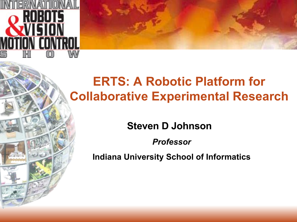

# **ERTS: A Robotic Platform for Collaborative Experimental Research**

# **Steven D Johnson**

*Professor*

**Indiana University School of Informatics**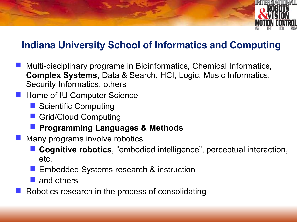

### **Indiana University School of Informatics and Computing**

- Multi-disciplinary programs in Bioinformatics, Chemical Informatics, **Complex Systems**, Data & Search, HCI, Logic, Music Informatics, Security Informatics, others
- **Home of IU Computer Science** 
	- Scientific Computing
	- Grid/Cloud Computing
	- **Programming Languages & Methods**
- Many programs involve robotics
	- **Cognitive robotics**, "embodied intelligence", perceptual interaction, etc.
	- **Embedded Systems research & instruction**
	- and others
- Robotics research in the process of consolidating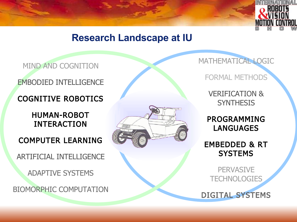

### **Research Landscape at IU**

#### MIND AND COGNITION

#### EMBODIED INTELLIGENCE

#### COGNITIVE ROBOTICS

#### HUMAN-ROBOT INTERACTION

#### COMPUTER LEARNING

ARTIFICIAL INTELLIGENCE

ADAPTIVE SYSTEMS

BIOMORPHIC COMPUTATION



MATHEMATICAL LOGIC

FORMAL METHODS

VERIFICATION & **SYNTHESIS** 

PROGRAMMING LANGUAGES

EMBEDDED & RT **SYSTEMS** 

**PERVASIVE TECHNOLOGIES** 

DIGITAL SYSTEMS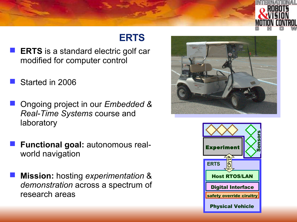

# **ERTS**

- **ERTS** is a standard electric golf car modified for computer control
- Started in 2006
- Ongoing project in our *Embedded & Real-Time Systems* course and laboratory
- **Functional goal:** autonomous realworld navigation
- **Mission:** hosting *experimentation* & *demonstration* across a spectrum of research areas



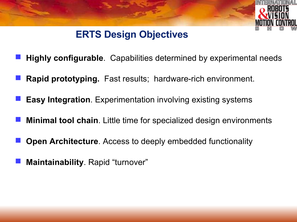

# **ERTS Design Objectives**

- **Highly configurable**. Capabilities determined by experimental needs
- **Rapid prototyping.** Fast results; hardware-rich environment.
- **Easy Integration**. Experimentation involving existing systems
- **Minimal tool chain**. Little time for specialized design environments
- **Open Architecture**. Access to deeply embedded functionality
- **Maintainability**. Rapid "turnover"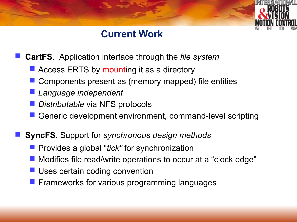### **Current Work**

- **CartFS**. Application interface through the *file system*
	- Access ERTS by mounting it as a directory
	- Components present as (memory mapped) file entities
	- *Language independent*
	- *Distributable* via NFS protocols
	- Generic development environment, command-level scripting
- **SyncFS**. Support for *synchronous design methods*
	- **Perovides a global "tick" for synchronization**
	- **Modifies file read/write operations to occur at a "clock edge"**
	- **Uses certain coding convention**
	- **Figure 1** Frameworks for various programming languages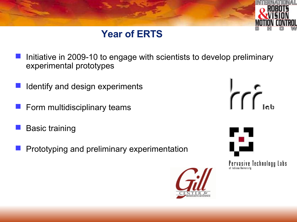

## **Year of ERTS**

- Initiative in 2009-10 to engage with scientists to develop preliminary experimental prototypes
- Identify and design experiments
- Form multidisciplinary teams
- Basic training
- Prototyping and preliminary experimentation







Pervasive Technology Labs